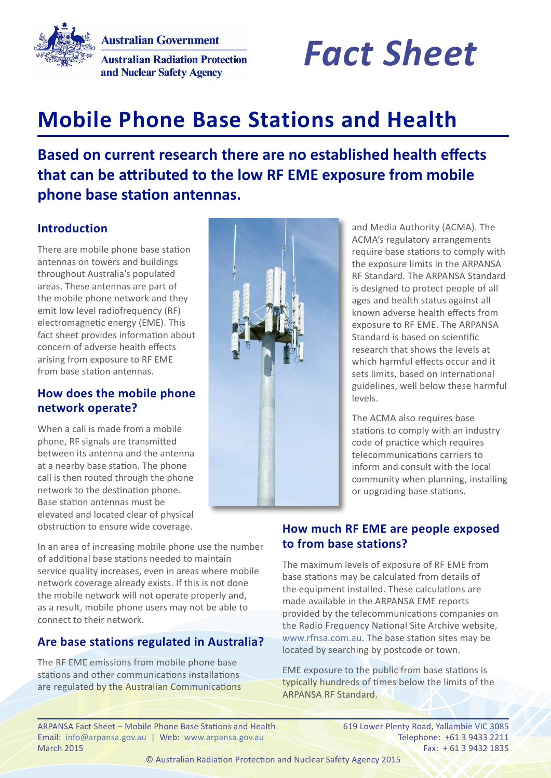**Australian Government Australian Radiation Protection** and Nuclear Safety Agency



# **Mobile Phone Base Stations and Health**

# **Based on current research there are no established health effects that can be attributed to the low RF EME exposure from mobile phone base station antennas.**

## **Introduction**

There are mobile phone base station antennas on towers and buildings throughout Australia's populated areas. These antennas are part of the mobile phone network and they emit low level radiofrequency (RF) electromagnetic energy (EME). This fact sheet provides information about concern of adverse health effects arising from exposure to RF EME from base station antennas.

#### **How does the mobile phone network operate?**

When a call is made from a mobile phone, RF signals are transmitted between its antenna and the antenna at a nearby base station. The phone call is then routed through the phone network to the destination phone. Base station antennas must be elevated and located clear of physical obstruction to ensure wide coverage.

In an area of increasing mobile phone use the number of additional base stations needed to maintain service quality increases, even in areas where mobile network coverage already exists. If this is not done the mobile network will not operate properly and, as a result, mobile phone users may not be able to connect to their network.

# **Are base stations regulated in Australia?**

The RF EME emissions from mobile phone base stations and other communications installations are regulated by the Australian Communications



and Media Authority (ACMA). The ACMA's regulatory arrangements require base stations to comply with the exposure limits in the ARPANSA RF Standard. The ARPANSA Standard is designed to protect people of all ages and health status against all known adverse health effects from exposure to RF EME. The ARPANSA Standard is based on scientific research that shows the levels at which harmful effects occur and it sets limits, based on international guidelines, well below these harmful levels.

The ACMA also requires base stations to comply with an industry code of practice which requires telecommunications carriers to inform and consult with the local community when planning, installing or upgrading base stations.

## **How much RF EME are people exposed to from base stations?**

The maximum levels of exposure of RF EME from base stations may be calculated from details of the equipment installed. These calculations are made available in the ARPANSA EME reports provided by the telecommunications companies on the Radio Frequency National Site Archive website, [www.rfnsa.com.au.](http://www.rfnsa.com.au) The base station sites may be located by searching by postcode or town.

EME exposure to the public from base stations is typically hundreds of times below the limits of the ARPANSA RF Standard.

ARPANSA Fact Sheet – Mobile Phone Base Stations and Health 619 Lower Plenty Road, Yallambie VIC 3085 Email: [info@arpansa.gov.au](mailto:info%40arpansa.gov.au?subject=) | Web: [www.arpansa.gov.au](http://www.arpansa.gov.au) | Celephone: +61 3 9433 2211 March 2015 Fax: + 61 3 9432 1835

© Australian Radiation Protection and Nuclear Safety Agency 2015